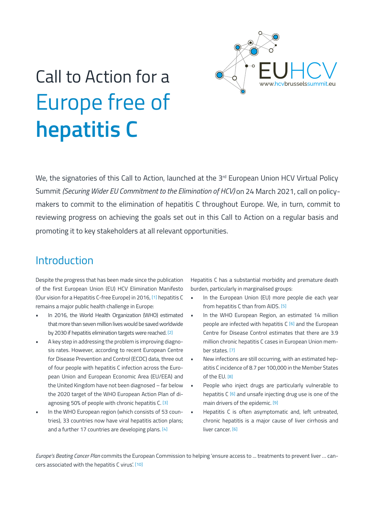

# Call to Action for a Europe free of **hepatitis C**

We, the signatories of this Call to Action, launched at the 3rd European Union HCV Virtual Policy Summit *(Securing Wider EU Commitment to the Elimination of HCV)* on 24 March 2021, call on policy makers to commit to the elimination of hepatitis C throughout Europe. We, in turn, commit to reviewing progress on achieving the goals set out in this Call to Action on a regular basis and promoting it to key stakeholders at all relevant opportunities.

### **Introduction**

Despite the progress that has been made since the publication of the first European Union (EU) HCV Elimination Manifesto (Our vision for a Hepatitis C-free Europe) in 2016, [1] hepatitis C remains a major public health challenge in Europe:

- In 2016, the World Health Organization (WHO) estimated that more than seven million lives would be saved worldwide by 2030 if hepatitis elimination targets were reached. [2]
- A key step in addressing the problem is improving diagnosis rates. However, according to recent European Centre for Disease Prevention and Control (ECDC) data, three out of four people with hepatitis C infection across the European Union and European Economic Area (EU/EEA) and the United Kingdom have not been diagnosed – far below the 2020 target of the WHO European Action Plan of diagnosing 50% of people with chronic hepatitis C. [3]
- In the WHO European region (which consists of 53 countries), 33 countries now have viral hepatitis action plans; and a further 17 countries are developing plans. [4]

Hepatitis C has a substantial morbidity and premature death burden, particularly in marginalised groups:

- In the European Union (EU) more people die each year from hepatitis C than from AIDS. [5]
- In the WHO European Region, an estimated 14 million people are infected with hepatitis C [6] and the European Centre for Disease Control estimates that there are 3.9 million chronic hepatitis C cases in European Union member states. [7]
- New infections are still occurring, with an estimated hepatitis C incidence of 8.7 per 100,000 in the Member States of the EU. [8]
- People who inject drugs are particularly vulnerable to hepatitis C [6] and unsafe injecting drug use is one of the main drivers of the epidemic. [9]
- Hepatitis C is often asymptomatic and, left untreated, chronic hepatitis is a major cause of liver cirrhosis and liver cancer. [6]

*Europe's Beating Cancer Plan* commits the European Commission to helping 'ensure access to ... treatments to prevent liver … cancers associated with the hepatitis C virus'. [10]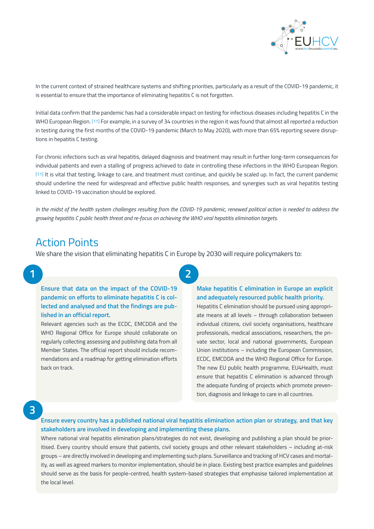

In the current context of strained healthcare systems and shifting priorities, particularly as a result of the COVID-19 pandemic, it is essential to ensure that the importance of eliminating hepatitis C is not forgotten.

Initial data confirm that the pandemic has had a considerable impact on testing for infectious diseases including hepatitis C in the WHO European Region. [11] For example, in a survey of 34 countries in the region it was found that almost all reported a reduction in testing during the first months of the COVID-19 pandemic (March to May 2020), with more than 65% reporting severe disruptions in hepatitis C testing.

For chronic infections such as viral hepatitis, delayed diagnosis and treatment may result in further long-term consequences for individual patients and even a stalling of progress achieved to date in controlling these infections in the WHO European Region. [11] It is vital that testing, linkage to care, and treatment must continue, and quickly be scaled up. In fact, the current pandemic should underline the need for widespread and effective public health responses, and synergies such as viral hepatitis testing linked to COVID-19 vaccination should be explored.

*In the midst of the health system challenges resulting from the COVID-19 pandemic, renewed political action is needed to address the growing hepatitis C public health threat and re-focus on achieving the WHO viral hepatitis elimination targets.*

**2**

### Action Points

We share the vision that eliminating hepatitis C in Europe by 2030 will require policymakers to:

### **1**

**Ensure that data on the impact of the COVID-19 pandemic on efforts to eliminate hepatitis C is collected and analysed and that the findings are published in an official report.**

Relevant agencies such as the ECDC, EMCDDA and the WHO Regional Office for Europe should collaborate on regularly collecting assessing and publishing data from all Member States. The official report should include recommendations and a roadmap for getting elimination efforts back on track.

#### **Make hepatitis C elimination in Europe an explicit and adequately resourced public health priority.**

Hepatitis C elimination should be pursued using appropriate means at all levels – through collaboration between individual citizens, civil society organisations, healthcare professionals, medical associations, researchers, the private sector, local and national governments, European Union institutions – including the European Commission, ECDC, EMCDDA and the WHO Regional Office for Europe. The new EU public health programme, EU4Health, must ensure that hepatitis C elimination is advanced through the adequate funding of projects which promote prevention, diagnosis and linkage to care in all countries.

### **3**

**Ensure every country has a published national viral hepatitis elimination action plan or strategy, and that key stakeholders are involved in developing and implementing these plans.**

Where national viral hepatitis elimination plans/strategies do not exist, developing and publishing a plan should be prioritised. Every country should ensure that patients, civil society groups and other relevant stakeholders – including at-risk groups – are directly involved in developing and implementing such plans. Surveillance and tracking of HCV cases and mortality, as well as agreed markers to monitor implementation, should be in place. Existing best practice examples and guidelines should serve as the basis for people-centred, health system-based strategies that emphasise tailored implementation at the local level.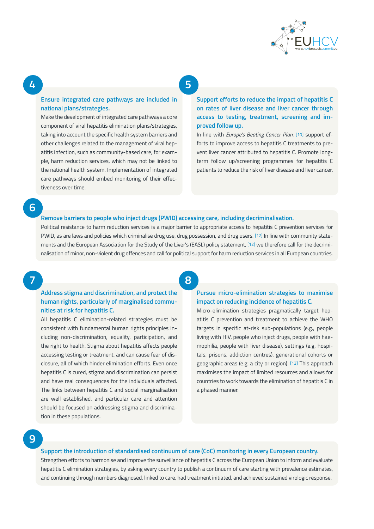

### **5**

#### **Ensure integrated care pathways are included in national plans/strategies.**

Make the development of integrated care pathways a core component of viral hepatitis elimination plans/strategies, taking into account the specific health system barriers and other challenges related to the management of viral hepatitis infection, such as community-based care, for example, harm reduction services, which may not be linked to the national health system. Implementation of integrated care pathways should embed monitoring of their effectiveness over time.

**Support efforts to reduce the impact of hepatitis C on rates of liver disease and liver cancer through access to testing, treatment, screening and improved follow up.**

In line with *Europe's Beating Cancer Plan*, [10] support efforts to improve access to hepatitis C treatments to prevent liver cancer attributed to hepatitis C. Promote longterm follow up/screening programmes for hepatitis C patients to reduce the risk of liver disease and liver cancer.

**6**

**4**

#### **Remove barriers to people who inject drugs (PWID) accessing care, including decriminalisation.**

Political resistance to harm reduction services is a major barrier to appropriate access to hepatitis C prevention services for PWID, as are laws and policies which criminalise drug use, drug possession, and drug users. [12] In line with community statements and the European Association for the Study of the Liver's (EASL) policy statement, [12] we therefore call for the decriminalisation of minor, non-violent drug offences and call for political support for harm reduction services in all European countries.

**7**

#### **Address stigma and discrimination, and protect the human rights, particularly of marginalised communities at risk for hepatitis C.**

All hepatitis C elimination-related strategies must be consistent with fundamental human rights principles including non-discrimination, equality, participation, and the right to health. Stigma about hepatitis affects people accessing testing or treatment, and can cause fear of disclosure, all of which hinder elimination efforts. Even once hepatitis C is cured, stigma and discrimination can persist and have real consequences for the individuals affected. The links between hepatitis C and social marginalisation are well established, and particular care and attention should be focused on addressing stigma and discrimination in these populations.

## **8**

#### **Pursue micro-elimination strategies to maximise impact on reducing incidence of hepatitis C.**

Micro-elimination strategies pragmatically target hepatitis C prevention and treatment to achieve the WHO targets in specific at-risk sub-populations (e.g., people living with HIV, people who inject drugs, people with haemophilia, people with liver disease), settings (e.g. hospitals, prisons, addiction centres), generational cohorts or geographic areas (e.g. a city or region). [13] This approach maximises the impact of limited resources and allows for countries to work towards the elimination of hepatitis C in a phased manner.

**9**

#### **Support the introduction of standardised continuum of care (CoC) monitoring in every European country.**

Strengthen efforts to harmonise and improve the surveillance of hepatitis C across the European Union to inform and evaluate hepatitis C elimination strategies, by asking every country to publish a continuum of care starting with prevalence estimates, and continuing through numbers diagnosed, linked to care, had treatment initiated, and achieved sustained virologic response.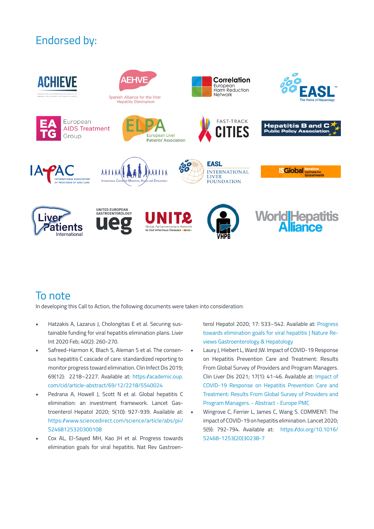# Endorsed by:



# To note

In developing this Call to Action, the following documents were taken into consideration:

- Hatzakis A, Lazarus J, Cholongitas E et al. Securing sustainable funding for viral hepatitis elimination plans. Liver Int 2020 Feb; 40(2): 260-270.
- Safreed-Harmon K, Blach S, Aleman S et al. The consensus hepatitis C cascade of care: standardized reporting to monitor progress toward elimination. Clin Infect Dis 2019; 69(12): 2218–2227. Available at: https://academic.oup. com/cid/article-abstract/69/12/2218/5540024
- Pedrana A, Howell J, Scott N et al. Global hepatitis C elimination: an investment framework. Lancet Gastroenterol Hepatol 2020; 5(10): 927-939. Available at: https://www.sciencedirect.com/science/article/abs/pii/ S2468125320300108
- Cox AL, El-Sayed MH, Kao JH et al. Progress towards elimination goals for viral hepatitis. Nat Rev Gastroen-

terol Hepatol 2020; 17: 533–542. Available at: Progress towards elimination goals for viral hepatitis | Nature Reviews Gastroenterology & Hepatology

- Laury J, Hiebert L, Ward JW. Impact of COVID-19 Response on Hepatitis Prevention Care and Treatment: Results From Global Survey of Providers and Program Managers. Clin Liver Dis 2021; 17(1): 41-46. Available at: Impact of COVID-19 Response on Hepatitis Prevention Care and Treatment: Results From Global Survey of Providers and Program Managers. - Abstract - Europe PMC
- Wingrove C, Ferrier L, James C, Wang S. COMMENT: The impact of COVID-19 on hepatitis elimination. Lancet 2020; 5(9): 792-794. Available at: https://doi.org/10.1016/ S2468-1253(20)30238-7